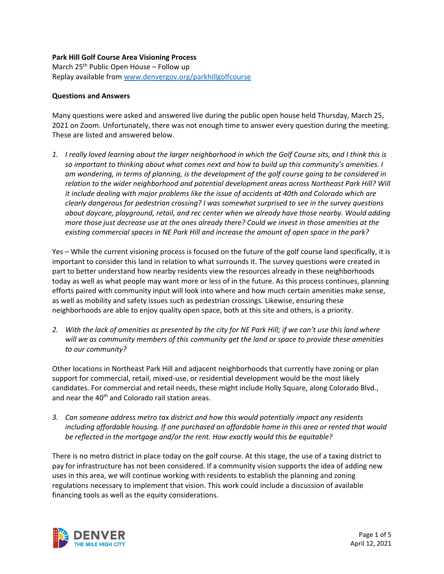## **Park Hill Golf Course Area Visioning Process**

March  $25<sup>th</sup>$  Public Open House – Follow up Replay available from [www.denvergov.org/parkhillgolfcourse](http://www.denvergov.org/parkhillgolfcourse)

## **Questions and Answers**

Many questions were asked and answered live during the public open house held Thursday, March 25, 2021 on Zoom. Unfortunately, there was not enough time to answer every question during the meeting. These are listed and answered below.

*1. I really loved learning about the larger neighborhood in which the Golf Course sits, and I think this is so important to thinking about what comes next and how to build up this community's amenities. I am wondering, in terms of planning, is the development of the golf course going to be considered in relation to the wider neighborhood and potential development areas across Northeast Park Hill? Will it include dealing with major problems like the issue of accidents at 40th and Colorado which are clearly dangerous for pedestrian crossing? I was somewhat surprised to see in the survey questions about daycare, playground, retail, and rec center when we already have those nearby. Would adding more those just decrease use at the ones already there? Could we invest in those amenities at the existing commercial spaces in NE Park Hill and increase the amount of open space in the park?*

Yes – While the current visioning process is focused on the future of the golf course land specifically, it is important to consider this land in relation to what surrounds it. The survey questions were created in part to better understand how nearby residents view the resources already in these neighborhoods today as well as what people may want more or less of in the future. As this process continues, planning efforts paired with community input will look into where and how much certain amenities make sense, as well as mobility and safety issues such as pedestrian crossings. Likewise, ensuring these neighborhoods are able to enjoy quality open space, both at this site and others, is a priority.

*2. With the lack of amenities as presented by the city for NE Park Hill; if we can't use this land where will we as community members of this community get the land or space to provide these amenities to our community?*

Other locations in Northeast Park Hill and adjacent neighborhoods that currently have zoning or plan support for commercial, retail, mixed-use, or residential development would be the most likely candidates. For commercial and retail needs, these might include Holly Square, along Colorado Blvd., and near the 40<sup>th</sup> and Colorado rail station areas.

*3. Can someone address metro tax district and how this would potentially impact any residents including affordable housing. If one purchased an affordable home in this area or rented that would be reflected in the mortgage and/or the rent. How exactly would this be equitable?*

There is no metro district in place today on the golf course. At this stage, the use of a taxing district to pay for infrastructure has not been considered. If a community vision supports the idea of adding new uses in this area, we will continue working with residents to establish the planning and zoning regulations necessary to implement that vision. This work could include a discussion of available financing tools as well as the equity considerations.

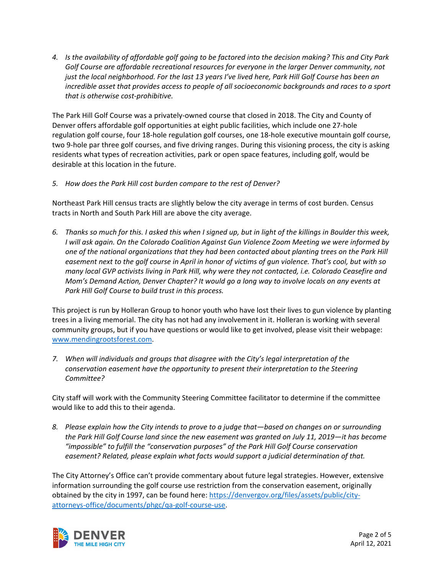*4. Is the availability of affordable golf going to be factored into the decision making? This and City Park Golf Course are affordable recreational resources for everyone in the larger Denver community, not just the local neighborhood. For the last 13 years I've lived here, Park Hill Golf Course has been an incredible asset that provides access to people of all socioeconomic backgrounds and races to a sport that is otherwise cost-prohibitive.*

The Park Hill Golf Course was a privately-owned course that closed in 2018. The City and County of Denver offers affordable golf opportunities at eight public facilities, which include one 27-hole regulation golf course, four 18-hole regulation golf courses, one 18-hole executive mountain golf course, two 9-hole par three golf courses, and five driving ranges. During this visioning process, the city is asking residents what types of recreation activities, park or open space features, including golf, would be desirable at this location in the future.

## *5. How does the Park Hill cost burden compare to the rest of Denver?*

Northeast Park Hill census tracts are slightly below the city average in terms of cost burden. Census tracts in North and South Park Hill are above the city average.

*6. Thanks so much for this. I asked this when I signed up, but in light of the killings in Boulder this week, I will ask again. On the Colorado Coalition Against Gun Violence Zoom Meeting we were informed by one of the national organizations that they had been contacted about planting trees on the Park Hill easement next to the golf course in April in honor of victims of gun violence. That's cool, but with so many local GVP activists living in Park Hill, why were they not contacted, i.e. Colorado Ceasefire and Mom's Demand Action, Denver Chapter? It would go a long way to involve locals on any events at Park Hill Golf Course to build trust in this process.*

This project is run by Holleran Group to honor youth who have lost their lives to gun violence by planting trees in a living memorial. The city has not had any involvement in it. Holleran is working with several community groups, but if you have questions or would like to get involved, please visit their webpage: [www.mendingrootsforest.com.](http://www.mendingrootsforest.com/)

*7. When will individuals and groups that disagree with the City's legal interpretation of the conservation easement have the opportunity to present their interpretation to the Steering Committee?*

City staff will work with the Community Steering Committee facilitator to determine if the committee would like to add this to their agenda.

*8. Please explain how the City intends to prove to a judge that—based on changes on or surrounding the Park Hill Golf Course land since the new easement was granted on July 11, 2019—it has become "impossible" to fulfill the "conservation purposes" of the Park Hill Golf Course conservation easement? Related, please explain what facts would support a judicial determination of that.*

The City Attorney's Office can't provide commentary about future legal strategies. However, extensive information surrounding the golf course use restriction from the conservation easement, originally obtained by the city in 1997, can be found here: [https://denvergov.org/files/assets/public/city](https://denvergov.org/files/assets/public/city-attorneys-office/documents/phgc/qa-golf-course-use)[attorneys-office/documents/phgc/qa-golf-course-use.](https://denvergov.org/files/assets/public/city-attorneys-office/documents/phgc/qa-golf-course-use)

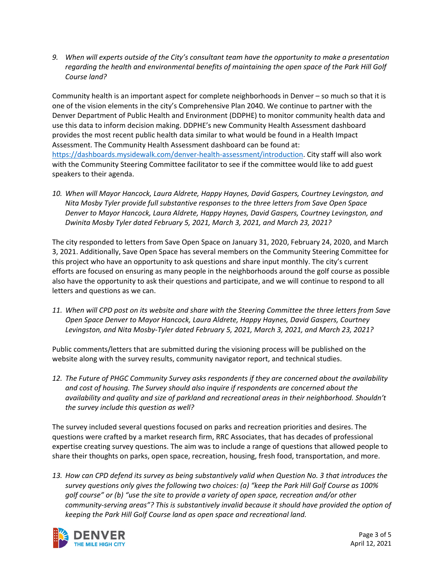*9. When will experts outside of the City's consultant team have the opportunity to make a presentation regarding the health and environmental benefits of maintaining the open space of the Park Hill Golf Course land?*

Community health is an important aspect for complete neighborhoods in Denver – so much so that it is one of the vision elements in the city's Comprehensive Plan 2040. We continue to partner with the Denver Department of Public Health and Environment (DDPHE) to monitor community health data and use this data to inform decision making. DDPHE's new Community Health Assessment dashboard provides the most recent public health data similar to what would be found in a Health Impact Assessment. The Community Health Assessment dashboard can be found at: [https://dashboards.mysidewalk.com/denver-health-assessment/introduction.](https://dashboards.mysidewalk.com/denver-health-assessment/introduction) City staff will also work with the Community Steering Committee facilitator to see if the committee would like to add guest speakers to their agenda.

*10. When will Mayor Hancock, Laura Aldrete, Happy Haynes, David Gaspers, Courtney Levingston, and Nita Mosby Tyler provide full substantive responses to the three letters from Save Open Space Denver to Mayor Hancock, Laura Aldrete, Happy Haynes, David Gaspers, Courtney Levingston, and Dwinita Mosby Tyler dated February 5, 2021, March 3, 2021, and March 23, 2021?*

The city responded to letters from Save Open Space on January 31, 2020, February 24, 2020, and March 3, 2021. Additionally, Save Open Space has several members on the Community Steering Committee for this project who have an opportunity to ask questions and share input monthly. The city's current efforts are focused on ensuring as many people in the neighborhoods around the golf course as possible also have the opportunity to ask their questions and participate, and we will continue to respond to all letters and questions as we can.

*11. When will CPD post on its website and share with the Steering Committee the three letters from Save Open Space Denver to Mayor Hancock, Laura Aldrete, Happy Haynes, David Gaspers, Courtney Levingston, and Nita Mosby-Tyler dated February 5, 2021, March 3, 2021, and March 23, 2021?*

Public comments/letters that are submitted during the visioning process will be published on the website along with the survey results, community navigator report, and technical studies.

*12. The Future of PHGC Community Survey asks respondents if they are concerned about the availability and cost of housing. The Survey should also inquire if respondents are concerned about the availability and quality and size of parkland and recreational areas in their neighborhood. Shouldn't the survey include this question as well?*

The survey included several questions focused on parks and recreation priorities and desires. The questions were crafted by a market research firm, RRC Associates, that has decades of professional expertise creating survey questions. The aim was to include a range of questions that allowed people to share their thoughts on parks, open space, recreation, housing, fresh food, transportation, and more.

*13. How can CPD defend its survey as being substantively valid when Question No. 3 that introduces the survey questions only gives the following two choices: (a) "keep the Park Hill Golf Course as 100% golf course" or (b) "use the site to provide a variety of open space, recreation and/or other community-serving areas"? This is substantively invalid because it should have provided the option of keeping the Park Hill Golf Course land as open space and recreational land.*

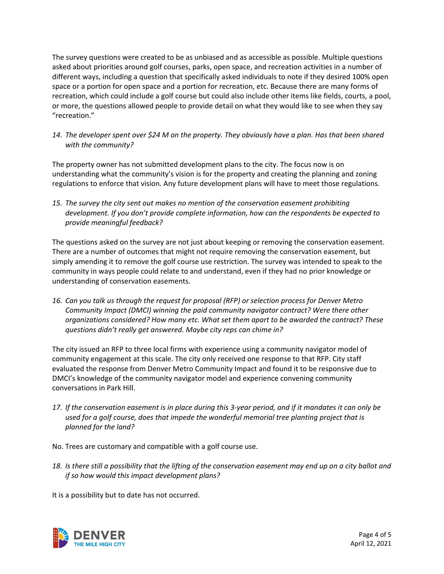The survey questions were created to be as unbiased and as accessible as possible. Multiple questions asked about priorities around golf courses, parks, open space, and recreation activities in a number of different ways, including a question that specifically asked individuals to note if they desired 100% open space or a portion for open space and a portion for recreation, etc. Because there are many forms of recreation, which could include a golf course but could also include other items like fields, courts, a pool, or more, the questions allowed people to provide detail on what they would like to see when they say "recreation."

*14. The developer spent over \$24 M on the property. They obviously have a plan. Has that been shared with the community?*

The property owner has not submitted development plans to the city. The focus now is on understanding what the community's vision is for the property and creating the planning and zoning regulations to enforce that vision. Any future development plans will have to meet those regulations.

*15. The survey the city sent out makes no mention of the conservation easement prohibiting development. If you don't provide complete information, how can the respondents be expected to provide meaningful feedback?*

The questions asked on the survey are not just about keeping or removing the conservation easement. There are a number of outcomes that might not require removing the conservation easement, but simply amending it to remove the golf course use restriction. The survey was intended to speak to the community in ways people could relate to and understand, even if they had no prior knowledge or understanding of conservation easements.

*16. Can you talk us through the request for proposal (RFP) or selection process for Denver Metro Community Impact (DMCI) winning the paid community navigator contract? Were there other organizations considered? How many etc. What set them apart to be awarded the contract? These questions didn't really get answered. Maybe city reps can chime in?*

The city issued an RFP to three local firms with experience using a community navigator model of community engagement at this scale. The city only received one response to that RFP. City staff evaluated the response from Denver Metro Community Impact and found it to be responsive due to DMCI's knowledge of the community navigator model and experience convening community conversations in Park Hill.

*17. If the conservation easement is in place during this 3-year period, and if it mandates it can only be used for a golf course, does that impede the wonderful memorial tree planting project that is planned for the land?*

No. Trees are customary and compatible with a golf course use.

*18. Is there still a possibility that the lifting of the conservation easement may end up on a city ballot and if so how would this impact development plans?*

It is a possibility but to date has not occurred.